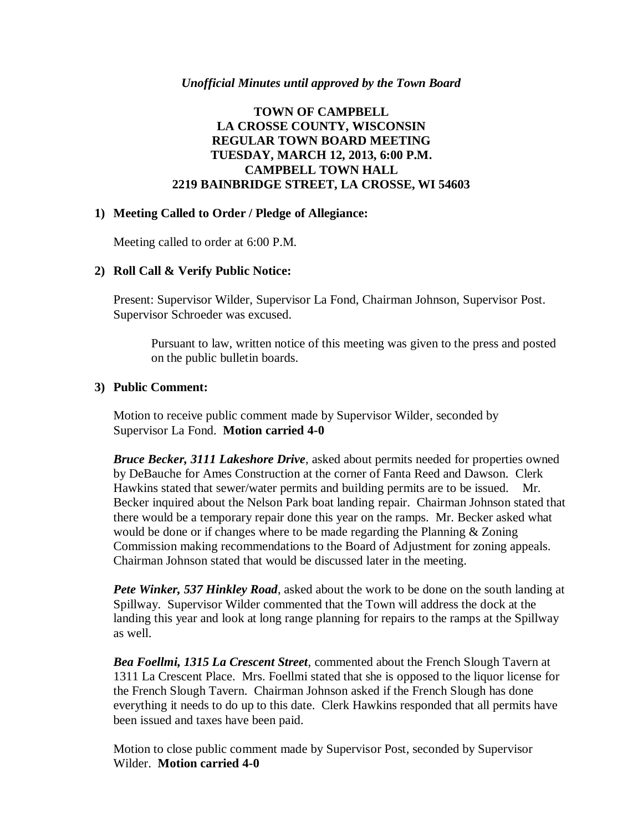#### *Unofficial Minutes until approved by the Town Board*

### **TOWN OF CAMPBELL LA CROSSE COUNTY, WISCONSIN REGULAR TOWN BOARD MEETING TUESDAY, MARCH 12, 2013, 6:00 P.M. CAMPBELL TOWN HALL 2219 BAINBRIDGE STREET, LA CROSSE, WI 54603**

#### **1) Meeting Called to Order / Pledge of Allegiance:**

Meeting called to order at 6:00 P.M.

#### **2) Roll Call & Verify Public Notice:**

Present: Supervisor Wilder, Supervisor La Fond, Chairman Johnson, Supervisor Post. Supervisor Schroeder was excused.

Pursuant to law, written notice of this meeting was given to the press and posted on the public bulletin boards.

#### **3) Public Comment:**

Motion to receive public comment made by Supervisor Wilder, seconded by Supervisor La Fond. **Motion carried 4-0**

*Bruce Becker, 3111 Lakeshore Drive*, asked about permits needed for properties owned by DeBauche for Ames Construction at the corner of Fanta Reed and Dawson. Clerk Hawkins stated that sewer/water permits and building permits are to be issued. Mr. Becker inquired about the Nelson Park boat landing repair. Chairman Johnson stated that there would be a temporary repair done this year on the ramps. Mr. Becker asked what would be done or if changes where to be made regarding the Planning & Zoning Commission making recommendations to the Board of Adjustment for zoning appeals. Chairman Johnson stated that would be discussed later in the meeting.

*Pete Winker, 537 Hinkley Road*, asked about the work to be done on the south landing at Spillway. Supervisor Wilder commented that the Town will address the dock at the landing this year and look at long range planning for repairs to the ramps at the Spillway as well.

*Bea Foellmi, 1315 La Crescent Street*, commented about the French Slough Tavern at 1311 La Crescent Place. Mrs. Foellmi stated that she is opposed to the liquor license for the French Slough Tavern. Chairman Johnson asked if the French Slough has done everything it needs to do up to this date. Clerk Hawkins responded that all permits have been issued and taxes have been paid.

Motion to close public comment made by Supervisor Post, seconded by Supervisor Wilder. **Motion carried 4-0**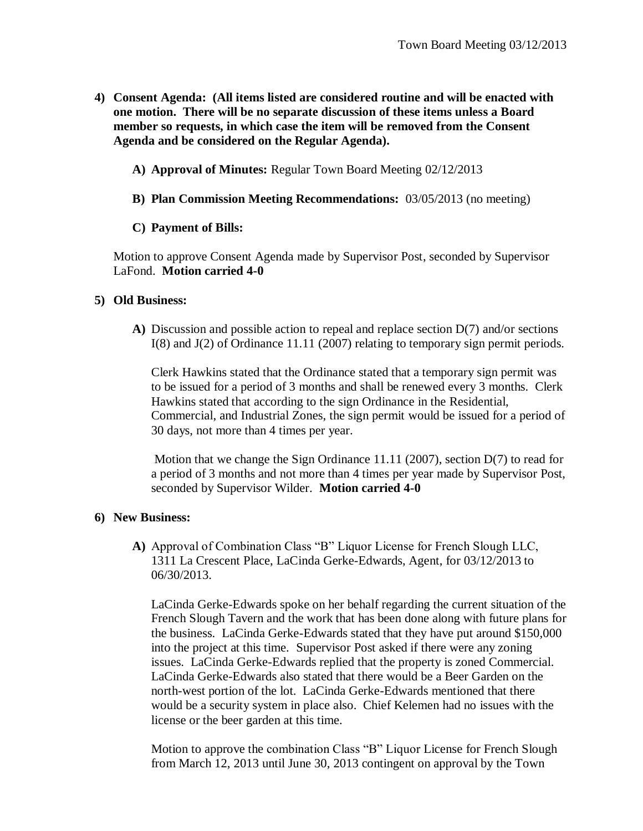- **4) Consent Agenda: (All items listed are considered routine and will be enacted with one motion. There will be no separate discussion of these items unless a Board member so requests, in which case the item will be removed from the Consent Agenda and be considered on the Regular Agenda).**
	- **A) Approval of Minutes:** Regular Town Board Meeting 02/12/2013
	- **B) Plan Commission Meeting Recommendations:** 03/05/2013 (no meeting)

# **C) Payment of Bills:**

Motion to approve Consent Agenda made by Supervisor Post, seconded by Supervisor LaFond. **Motion carried 4-0**

## **5) Old Business:**

**A)** Discussion and possible action to repeal and replace section D(7) and/or sections I(8) and J(2) of Ordinance 11.11 (2007) relating to temporary sign permit periods.

Clerk Hawkins stated that the Ordinance stated that a temporary sign permit was to be issued for a period of 3 months and shall be renewed every 3 months. Clerk Hawkins stated that according to the sign Ordinance in the Residential, Commercial, and Industrial Zones, the sign permit would be issued for a period of 30 days, not more than 4 times per year.

Motion that we change the Sign Ordinance 11.11 (2007), section D(7) to read for a period of 3 months and not more than 4 times per year made by Supervisor Post, seconded by Supervisor Wilder. **Motion carried 4-0**

## **6) New Business:**

**A)** Approval of Combination Class "B" Liquor License for French Slough LLC, 1311 La Crescent Place, LaCinda Gerke-Edwards, Agent, for 03/12/2013 to 06/30/2013.

LaCinda Gerke-Edwards spoke on her behalf regarding the current situation of the French Slough Tavern and the work that has been done along with future plans for the business. LaCinda Gerke-Edwards stated that they have put around \$150,000 into the project at this time. Supervisor Post asked if there were any zoning issues. LaCinda Gerke-Edwards replied that the property is zoned Commercial. LaCinda Gerke-Edwards also stated that there would be a Beer Garden on the north-west portion of the lot. LaCinda Gerke-Edwards mentioned that there would be a security system in place also. Chief Kelemen had no issues with the license or the beer garden at this time.

Motion to approve the combination Class "B" Liquor License for French Slough from March 12, 2013 until June 30, 2013 contingent on approval by the Town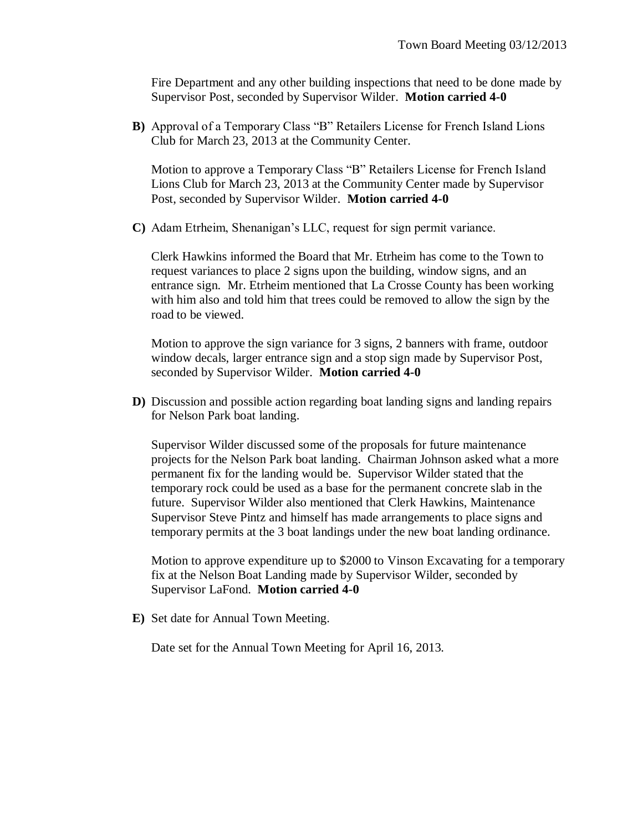Fire Department and any other building inspections that need to be done made by Supervisor Post, seconded by Supervisor Wilder. **Motion carried 4-0**

**B)** Approval of a Temporary Class "B" Retailers License for French Island Lions Club for March 23, 2013 at the Community Center.

Motion to approve a Temporary Class "B" Retailers License for French Island Lions Club for March 23, 2013 at the Community Center made by Supervisor Post, seconded by Supervisor Wilder. **Motion carried 4-0**

**C)** Adam Etrheim, Shenanigan's LLC, request for sign permit variance.

Clerk Hawkins informed the Board that Mr. Etrheim has come to the Town to request variances to place 2 signs upon the building, window signs, and an entrance sign. Mr. Etrheim mentioned that La Crosse County has been working with him also and told him that trees could be removed to allow the sign by the road to be viewed.

Motion to approve the sign variance for 3 signs, 2 banners with frame, outdoor window decals, larger entrance sign and a stop sign made by Supervisor Post, seconded by Supervisor Wilder. **Motion carried 4-0**

**D)** Discussion and possible action regarding boat landing signs and landing repairs for Nelson Park boat landing.

Supervisor Wilder discussed some of the proposals for future maintenance projects for the Nelson Park boat landing. Chairman Johnson asked what a more permanent fix for the landing would be. Supervisor Wilder stated that the temporary rock could be used as a base for the permanent concrete slab in the future. Supervisor Wilder also mentioned that Clerk Hawkins, Maintenance Supervisor Steve Pintz and himself has made arrangements to place signs and temporary permits at the 3 boat landings under the new boat landing ordinance.

Motion to approve expenditure up to \$2000 to Vinson Excavating for a temporary fix at the Nelson Boat Landing made by Supervisor Wilder, seconded by Supervisor LaFond. **Motion carried 4-0**

**E)** Set date for Annual Town Meeting.

Date set for the Annual Town Meeting for April 16, 2013.